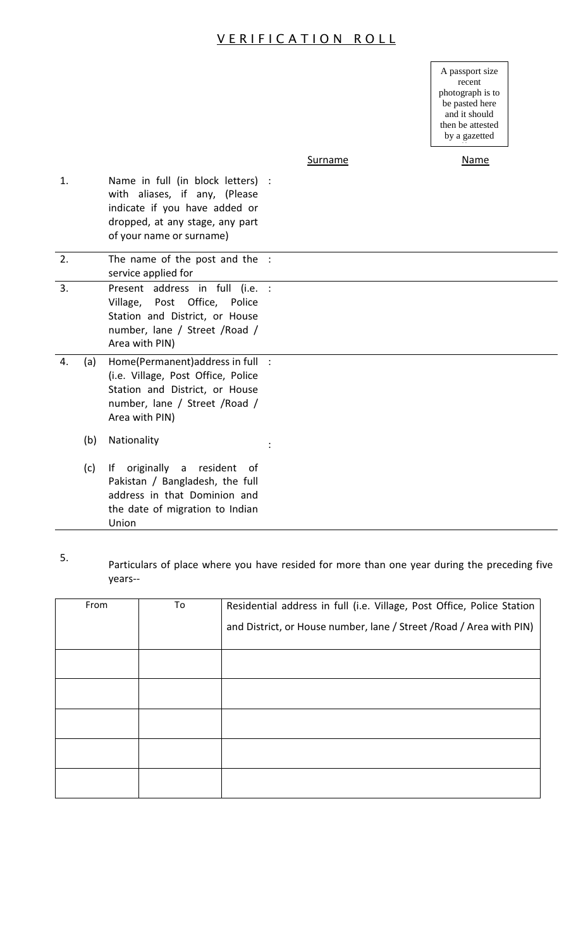## VERIFICATION ROLL

A passport size recent photograph is to be pasted here and it should then be attested by a gazetted

|    |     |                                                                                                                                                                    | <b>Surname</b> | <b>Name</b> |
|----|-----|--------------------------------------------------------------------------------------------------------------------------------------------------------------------|----------------|-------------|
| 1. |     | Name in full (in block letters) :<br>with aliases, if any, (Please<br>indicate if you have added or<br>dropped, at any stage, any part<br>of your name or surname) |                |             |
| 2. |     | The name of the post and the :<br>service applied for                                                                                                              |                |             |
| 3. |     | Present address in full (i.e. :<br>Village, Post Office, Police<br>Station and District, or House<br>number, lane / Street / Road /<br>Area with PIN)              |                |             |
| 4. | (a) | Home(Permanent) address in full :<br>(i.e. Village, Post Office, Police<br>Station and District, or House<br>number, lane / Street / Road /<br>Area with PIN)      |                |             |
|    | (b) | Nationality                                                                                                                                                        |                |             |
|    | (c) | originally a resident<br>lf<br>0f<br>Pakistan / Bangladesh, the full<br>address in that Dominion and<br>the date of migration to Indian<br>Union                   |                |             |

5. Particulars of place where you have resided for more than one year during the preceding five years--

| From | To | Residential address in full (i.e. Village, Post Office, Police Station |
|------|----|------------------------------------------------------------------------|
|      |    | and District, or House number, lane / Street / Road / Area with PIN)   |
|      |    |                                                                        |
|      |    |                                                                        |
|      |    |                                                                        |
|      |    |                                                                        |
|      |    |                                                                        |
|      |    |                                                                        |
|      |    |                                                                        |
|      |    |                                                                        |
|      |    |                                                                        |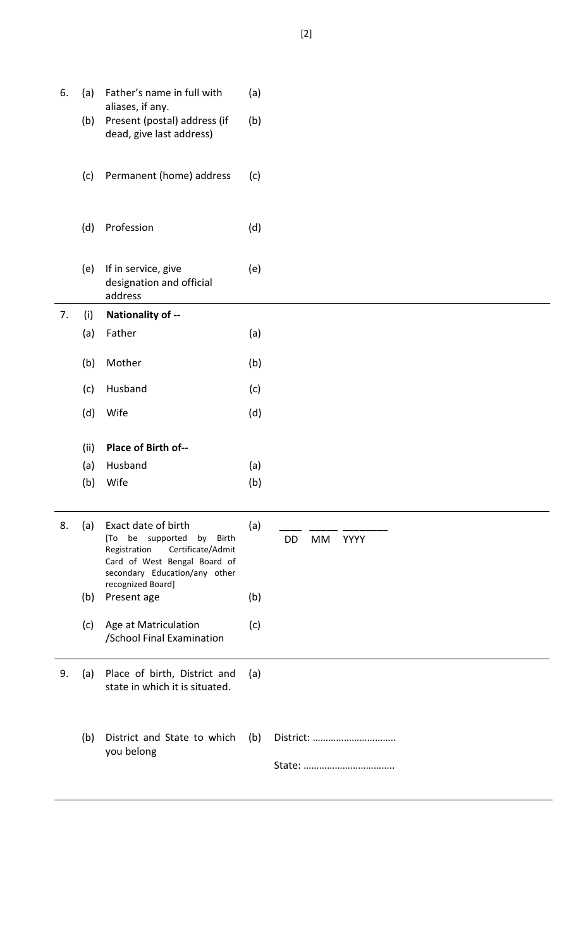| 6. | (a)        | Father's name in full with                                                                                                                                                                    | (a)        |                         |
|----|------------|-----------------------------------------------------------------------------------------------------------------------------------------------------------------------------------------------|------------|-------------------------|
|    | (b)        | aliases, if any.<br>Present (postal) address (if<br>dead, give last address)                                                                                                                  | (b)        |                         |
|    | (c)        | Permanent (home) address                                                                                                                                                                      | (c)        |                         |
|    | (d)        | Profession                                                                                                                                                                                    | (d)        |                         |
|    | (e)        | If in service, give<br>designation and official<br>address                                                                                                                                    | (e)        |                         |
| 7. | (i)        | Nationality of --                                                                                                                                                                             |            |                         |
|    | (a)        | Father                                                                                                                                                                                        | (a)        |                         |
|    | (b)        | Mother                                                                                                                                                                                        | (b)        |                         |
|    | (c)        | Husband                                                                                                                                                                                       | (c)        |                         |
|    | (d)        | Wife                                                                                                                                                                                          | (d)        |                         |
|    | (ii)       | Place of Birth of--                                                                                                                                                                           |            |                         |
|    | (a)        | Husband                                                                                                                                                                                       | (a)        |                         |
|    | (b)        | Wife                                                                                                                                                                                          | (b)        |                         |
| 8. | (a)<br>(b) | Exact date of birth<br>[To be supported<br>by Birth<br>Certificate/Admit<br>Registration<br>Card of West Bengal Board of<br>secondary Education/any other<br>recognized Board]<br>Present age | (a)<br>(b) | MM<br><b>YYYY</b><br>DD |
|    | (c)        | Age at Matriculation<br>/School Final Examination                                                                                                                                             | (c)        |                         |
| 9. |            | (a) Place of birth, District and<br>state in which it is situated.                                                                                                                            | (a)        |                         |
|    | (b)        | District and State to which<br>you belong                                                                                                                                                     | (b)        | District:               |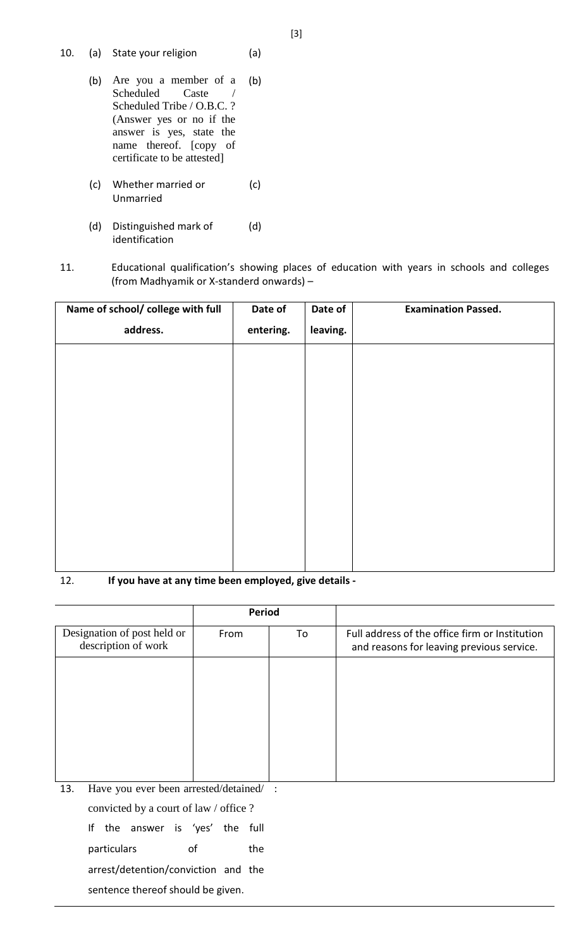10. (a) State your religion (a)

- (b) Are you a member of a Scheduled Caste Scheduled Tribe / O.B.C. ? (Answer yes or no if the answer is yes, state the name thereof. [copy of certificate to be attested] (b)
- (c) Whether married or Unmarried (c)
- (d) Distinguished mark of identification (d)
- 11. Educational qualification's showing places of education with years in schools and colleges (from Madhyamik or X-standerd onwards) –

| Name of school/ college with full | Date of   | Date of  | <b>Examination Passed.</b> |
|-----------------------------------|-----------|----------|----------------------------|
| address.                          | entering. | leaving. |                            |
|                                   |           |          |                            |
|                                   |           |          |                            |
|                                   |           |          |                            |
|                                   |           |          |                            |
|                                   |           |          |                            |
|                                   |           |          |                            |
|                                   |           |          |                            |
|                                   |           |          |                            |
|                                   |           |          |                            |
|                                   |           |          |                            |

12. If you have at any time been employed, give details -

|                                                    | <b>Period</b> |    |                                                                                             |
|----------------------------------------------------|---------------|----|---------------------------------------------------------------------------------------------|
| Designation of post held or<br>description of work | From          | To | Full address of the office firm or Institution<br>and reasons for leaving previous service. |
|                                                    |               |    |                                                                                             |
|                                                    |               |    |                                                                                             |
|                                                    |               |    |                                                                                             |
|                                                    |               |    |                                                                                             |
|                                                    |               |    |                                                                                             |
| Have you ever been arrested/detained/ :<br>13.     |               |    |                                                                                             |
| convicted by a court of law / office?              |               |    |                                                                                             |
| lf<br>the answer is 'yes' the full                 |               |    |                                                                                             |
| particulars                                        | of<br>the     |    |                                                                                             |
| arrest/detention/conviction and the                |               |    |                                                                                             |

sentence thereof should be given.